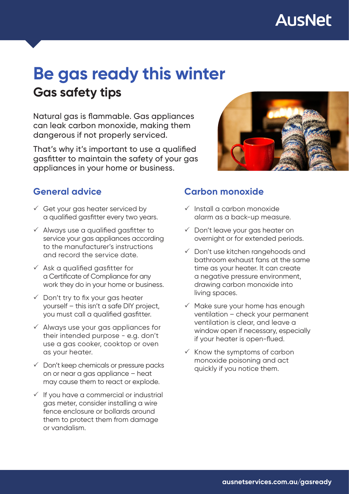# **Gas safety tips Be gas ready this winter**

Natural gas is flammable. Gas appliances can leak carbon monoxide, making them dangerous if not properly serviced.

That's why it's important to use a qualified gasfitter to maintain the safety of your gas appliances in your home or business.



## **General advice**

- $\checkmark$  Get your gas heater serviced by a qualified gasfitter every two years.
- $\checkmark$  Always use a qualified gasfitter to service your gas appliances according to the manufacturer's instructions and record the service date.
- $\checkmark$  Ask a qualified gasfitter for a Certificate of Compliance for any work they do in your home or business.
- $\checkmark$  Don't try to fix your gas heater yourself – this isn't a safe DIY project, you must call a qualified gasfitter.
- $\checkmark$  Always use your gas appliances for their intended purpose - e.g. don't use a gas cooker, cooktop or oven as your heater.
- $\checkmark$  Don't keep chemicals or pressure packs on or near a gas appliance – heat may cause them to react or explode.
- $\checkmark$  If you have a commercial or industrial gas meter, consider installing a wire fence enclosure or bollards around them to protect them from damage or vandalism.

## **Carbon monoxide**

- $\checkmark$  Install a carbon monoxide alarm as a back-up measure.
- $\checkmark$  Don't leave your gas heater on overnight or for extended periods.
- $\checkmark$  Don't use kitchen rangehoods and bathroom exhaust fans at the same time as your heater. It can create a negative pressure environment, drawing carbon monoxide into living spaces.
- $\checkmark$  Make sure your home has enough ventilation – check your permanent ventilation is clear, and leave a window open if necessary, especially if your heater is open-flued.
- $\times$  Know the symptoms of carbon monoxide poisoning and act quickly if you notice them.